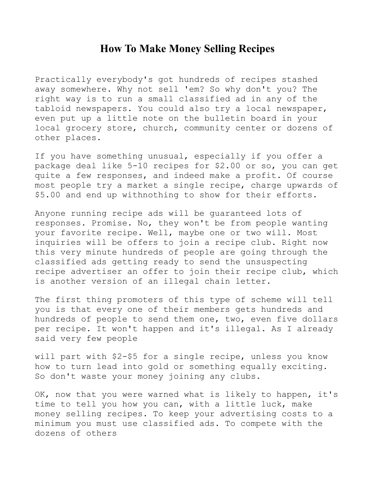## **How To Make Money Selling Recipes**

Practically everybody's got hundreds of recipes stashed away somewhere. Why not sell 'em? So why don't you? The right way is to run a small classified ad in any of the tabloid newspapers. You could also try a local newspaper, even put up a little note on the bulletin board in your local grocery store, church, community center or dozens of other places.

If you have something unusual, especially if you offer a package deal like 5-10 recipes for \$2.00 or so, you can get quite a few responses, and indeed make a profit. Of course most people try a market a single recipe, charge upwards of \$5.00 and end up withnothing to show for their efforts.

Anyone running recipe ads will be guaranteed lots of responses. Promise. No, they won't be from people wanting your favorite recipe. Well, maybe one or two will. Most inquiries will be offers to join a recipe club. Right now this very minute hundreds of people are going through the classified ads getting ready to send the unsuspecting recipe advertiser an offer to join their recipe club, which is another version of an illegal chain letter.

The first thing promoters of this type of scheme will tell you is that every one of their members gets hundreds and hundreds of people to send them one, two, even five dollars per recipe. It won't happen and it's illegal. As I already said very few people

will part with \$2-\$5 for a single recipe, unless you know how to turn lead into gold or something equally exciting. So don't waste your money joining any clubs.

OK, now that you were warned what is likely to happen, it's time to tell you how you can, with a little luck, make money selling recipes. To keep your advertising costs to a minimum you must use classified ads. To compete with the dozens of others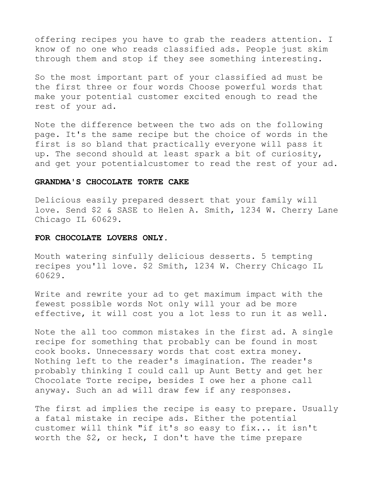offering recipes you have to grab the readers attention. I know of no one who reads classified ads. People just skim through them and stop if they see something interesting.

So the most important part of your classified ad must be the first three or four words Choose powerful words that make your potential customer excited enough to read the rest of your ad.

Note the difference between the two ads on the following page. It's the same recipe but the choice of words in the first is so bland that practically everyone will pass it up. The second should at least spark a bit of curiosity, and get your potentialcustomer to read the rest of your ad.

## **GRANDMA'S CHOCOLATE TORTE CAKE**

Delicious easily prepared dessert that your family will love. Send \$2 & SASE to Helen A. Smith, 1234 W. Cherry Lane Chicago IL 60629.

## **FOR CHOCOLATE LOVERS ONLY.**

Mouth watering sinfully delicious desserts. 5 tempting recipes you'll love. \$2 Smith, 1234 W. Cherry Chicago IL 60629.

Write and rewrite your ad to get maximum impact with the fewest possible words Not only will your ad be more effective, it will cost you a lot less to run it as well.

Note the all too common mistakes in the first ad. A single recipe for something that probably can be found in most cook books. Unnecessary words that cost extra money. Nothing left to the reader's imagination. The reader's probably thinking I could call up Aunt Betty and get her Chocolate Torte recipe, besides I owe her a phone call anyway. Such an ad will draw few if any responses.

The first ad implies the recipe is easy to prepare. Usually a fatal mistake in recipe ads. Either the potential customer will think "if it's so easy to fix... it isn't worth the \$2, or heck, I don't have the time prepare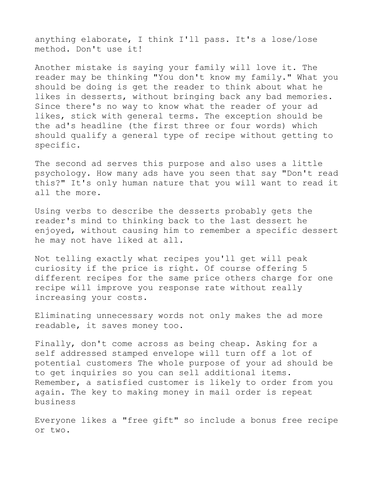anything elaborate, I think I'll pass. It's a lose/lose method. Don't use it!

Another mistake is saying your family will love it. The reader may be thinking "You don't know my family." What you should be doing is get the reader to think about what he likes in desserts, without bringing back any bad memories. Since there's no way to know what the reader of your ad likes, stick with general terms. The exception should be the ad's headline (the first three or four words) which should qualify a general type of recipe without getting to specific.

The second ad serves this purpose and also uses a little psychology. How many ads have you seen that say "Don't read this?" It's only human nature that you will want to read it all the more.

Using verbs to describe the desserts probably gets the reader's mind to thinking back to the last dessert he enjoyed, without causing him to remember a specific dessert he may not have liked at all.

Not telling exactly what recipes you'll get will peak curiosity if the price is right. Of course offering 5 different recipes for the same price others charge for one recipe will improve you response rate without really increasing your costs.

Eliminating unnecessary words not only makes the ad more readable, it saves money too.

Finally, don't come across as being cheap. Asking for a self addressed stamped envelope will turn off a lot of potential customers The whole purpose of your ad should be to get inquiries so you can sell additional items. Remember, a satisfied customer is likely to order from you again. The key to making money in mail order is repeat business

Everyone likes a "free gift" so include a bonus free recipe or two.